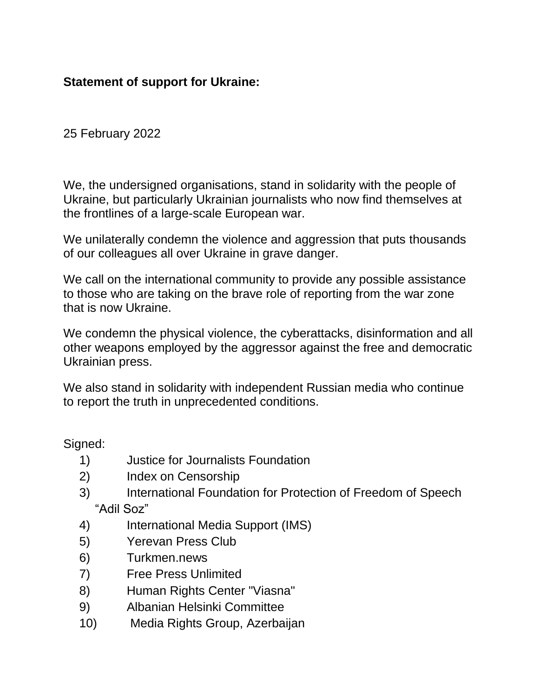## **Statement of support for Ukraine:**

25 February 2022

We, the undersigned organisations, stand in solidarity with the people of Ukraine, but particularly Ukrainian journalists who now find themselves at the frontlines of a large-scale European war.

We unilaterally condemn the violence and aggression that puts thousands of our colleagues all over Ukraine in grave danger.

We call on the international community to provide any possible assistance to those who are taking on the brave role of reporting from the war zone that is now Ukraine.

We condemn the physical violence, the cyberattacks, disinformation and all other weapons employed by the aggressor against the free and democratic Ukrainian press.

We also stand in solidarity with independent Russian media who continue to report the truth in unprecedented conditions.

Signed:

- 1) Justice for Journalists Foundation
- 2) Index on Censorship
- 3) International Foundation for Protection of Freedom of Speech "Adil Soz"
- 4) International Media Support (IMS)
- 5) Yerevan Press Club
- 6) Turkmen.news
- 7) Free Press Unlimited
- 8) Human Rights Center "Viasna"
- 9) Albanian Helsinki Committee
- 10) Media Rights Group, Azerbaijan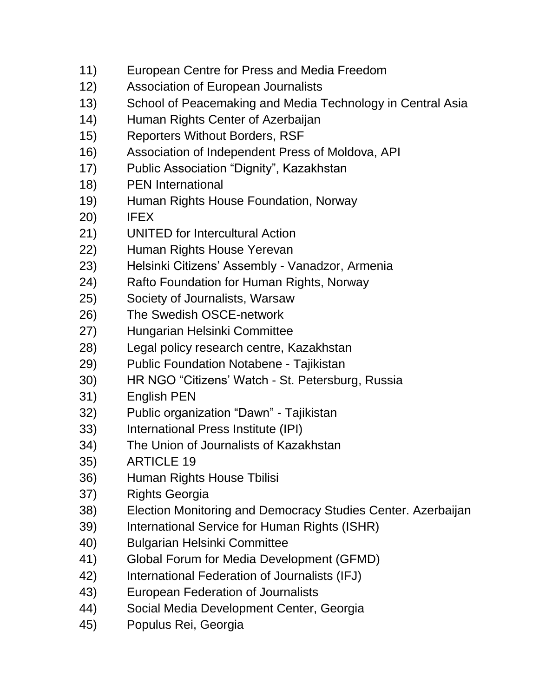- 11) European Centre for Press and Media Freedom
- 12) Association of European Journalists
- 13) School of Peacemaking and Media Technology in Central Asia
- 14) Human Rights Center of Azerbaijan
- 15) Reporters Without Borders, RSF
- 16) Association of Independent Press of Moldova, API
- 17) Public Association "Dignity", Kazakhstan
- 18) PEN International
- 19) Human Rights House Foundation, Norway
- 20) IFEX
- 21) UNITED for Intercultural Action
- 22) Human Rights House Yerevan
- 23) Helsinki Citizens' Assembly Vanadzor, Armenia
- 24) Rafto Foundation for Human Rights, Norway
- 25) Society of Journalists, Warsaw
- 26) The Swedish OSCE-network
- 27) Hungarian Helsinki Committee
- 28) Legal policy research centre, Kazakhstan
- 29) Public Foundation Notabene Tajikistan
- 30) HR NGO "Citizens' Watch St. Petersburg, Russia
- 31) English PEN
- 32) Public organization "Dawn" Tajikistan
- 33) International Press Institute (IPI)
- 34) The Union of Journalists of Kazakhstan
- 35) ARTICLE 19
- 36) Human Rights House Tbilisi
- 37) Rights Georgia
- 38) Election Monitoring and Democracy Studies Center. Azerbaijan
- 39) International Service for Human Rights (ISHR)
- 40) Bulgarian Helsinki Committee
- 41) Global Forum for Media Development (GFMD)
- 42) International Federation of Journalists (IFJ)
- 43) European Federation of Journalists
- 44) Social Media Development Center, Georgia
- 45) Populus Rei, Georgia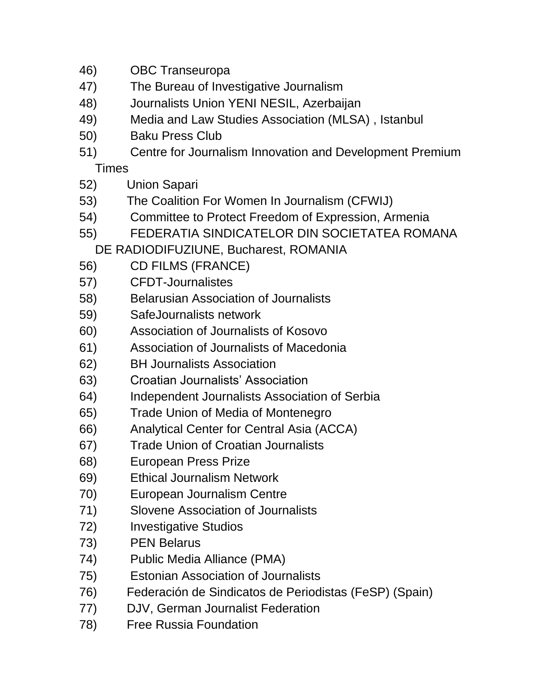- 46) OBC Transeuropa
- 47) The Bureau of Investigative Journalism
- 48) Journalists Union YENI NESIL, Azerbaijan
- 49) Media and Law Studies Association (MLSA) , Istanbul
- 50) Baku Press Club
- 51) Centre for Journalism Innovation and Development Premium **Times**
- 52) Union Sapari
- 53) The Coalition For Women In Journalism (CFWIJ)
- 54) Committee to Protect Freedom of Expression, Armenia
- 55) FEDERATIA SINDICATELOR DIN SOCIETATEA ROMANA
	- DE RADIODIFUZIUNE, Bucharest, ROMANIA
- 56) CD FILMS (FRANCE)
- 57) CFDT-Journalistes
- 58) Belarusian Association of Journalists
- 59) SafeJournalists network
- 60) Association of Journalists of Kosovo
- 61) Association of Journalists of Macedonia
- 62) BH Journalists Association
- 63) Croatian Journalists' Association
- 64) Independent Journalists Association of Serbia
- 65) Trade Union of Media of Montenegro
- 66) Analytical Center for Central Asia (ACCA)
- 67) Trade Union of Croatian Journalists
- 68) European Press Prize
- 69) Ethical Journalism Network
- 70) European Journalism Centre
- 71) Slovene Association of Journalists
- 72) Investigative Studios
- 73) PEN Belarus
- 74) Public Media Alliance (PMA)
- 75) Estonian Association of Journalists
- 76) Federación de Sindicatos de Periodistas (FeSP) (Spain)
- 77) DJV, German Journalist Federation
- 78) Free Russia Foundation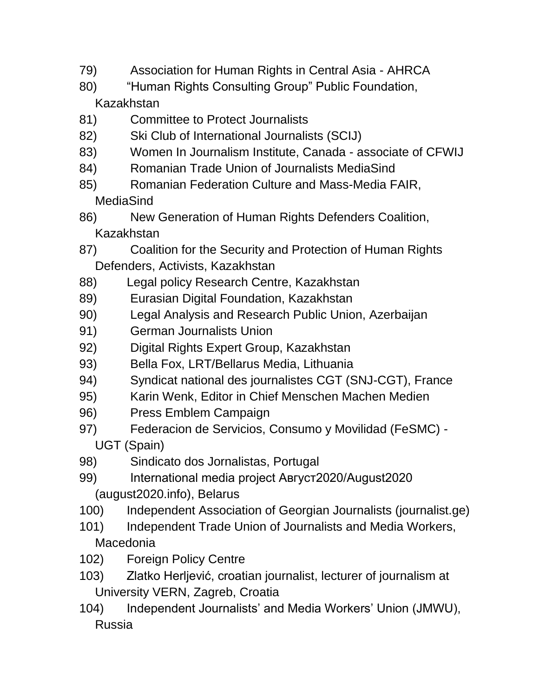- 79) Association for Human Rights in Central Asia AHRCA
- 80) "Human Rights Consulting Group" Public Foundation, Kazakhstan
- 81) Committee to Protect Journalists
- 82) [Ski Club of I](http://www.scij.ski/)nternationa[l](http://www.scij.ski/) [Journalists](http://www.scij.ski/) (SCIJ)
- 83) Women In Journalism Institute, Canada associate of CFWIJ
- 84) Romanian Trade Union of Journalists MediaSind
- 85) Romanian Federation Culture and Mass-Media FAIR, MediaSind
- 86) New Generation of Human Rights Defenders Coalition, Kazakhstan
- 87) Coalition for the Security and Protection of Human Rights Defenders, Activists, Kazakhstan
- 88) Legal policy Research Centre, Kazakhstan
- 89) Eurasian Digital Foundation, Kazakhstan
- 90) Legal Analysis and Research Public Union, Azerbaijan
- 91) German Journalists Union
- 92) Digital Rights Expert Group, Kazakhstan
- 93) Bella Fox, LRT/Bellarus Media, Lithuania
- 94) Syndicat national des journalistes CGT (SNJ-CGT), France
- 95) Karin Wenk, Editor in Chief Menschen Machen Medien
- 96) Press Emblem Campaign
- 97) Federacion de Servicios, Consumo y Movilidad (FeSMC) UGT (Spain)
- 98) Sindicato dos Jornalistas, Portugal
- 99) International media project Август2020/August2020 (august2020.info), Belarus
- 100) Independent Association of Georgian Journalists (journalist.ge)
- 101) Independent Trade Union of Journalists and Media Workers, **Macedonia**
- 102) Foreign Policy Centre
- 103) Zlatko Herljević, croatian journalist, lecturer of journalism at University VERN, Zagreb, Croatia
- 104) Independent Journalists' and Media Workers' Union (JMWU), Russia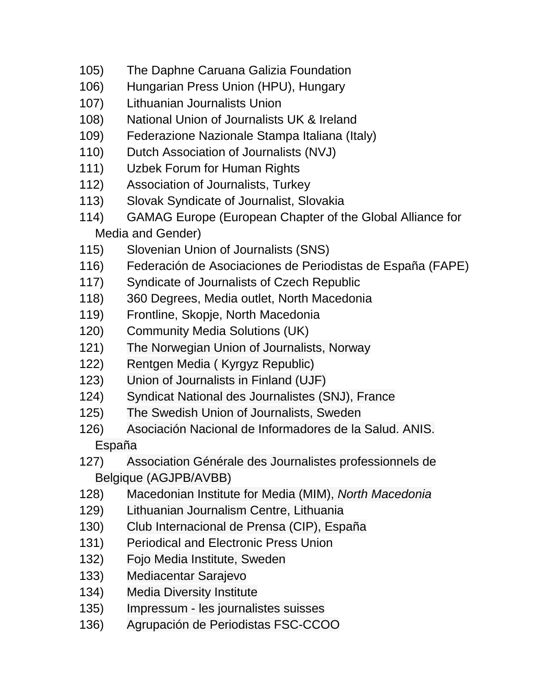- 105) The Daphne Caruana Galizia Foundation
- 106) Hungarian Press Union (HPU), Hungary
- 107) Lithuanian Journalists Union
- 108) National Union of Journalists UK & Ireland
- 109) Federazione Nazionale Stampa Italiana (Italy)
- 110) Dutch Association of Journalists (NVJ)
- 111) Uzbek Forum for Human Rights
- 112) Association of Journalists, Turkey
- 113) Slovak Syndicate of Journalist, Slovakia
- 114) GAMAG Europe (European Chapter of the Global Alliance for Media and Gender)
- 115) Slovenian Union of Journalists (SNS)
- 116) Federación de Asociaciones de Periodistas de España (FAPE)
- 117) Syndicate of Journalists of Czech Republic
- 118) 360 Degrees, Media outlet, North Macedonia
- 119) Frontline, Skopje, North Macedonia
- 120) Community Media Solutions (UK)
- 121) The Norwegian Union of Journalists, Norway
- 122) Rentgen Media ( Kyrgyz Republic)
- 123) Union of Journalists in Finland (UJF)
- 124) Syndicat National des Journalistes (SNJ), France
- 125) The Swedish Union of Journalists, Sweden
- 126) Asociación Nacional de Informadores de la Salud. ANIS. España
- 127) Association Générale des Journalistes professionnels de Belgique (AGJPB/AVBB)
- 128) Macedonian Institute for Media (MIM), *North Macedonia*
- 129) Lithuanian Journalism Centre, Lithuania
- 130) Club Internacional de Prensa (CIP), España
- 131) Periodical and Electronic Press Union
- 132) Fojo Media Institute, Sweden
- 133) Mediacentar Sarajevo
- 134) Media Diversity Institute
- 135) Impressum les journalistes suisses
- 136) Agrupación de Periodistas FSC-CCOO